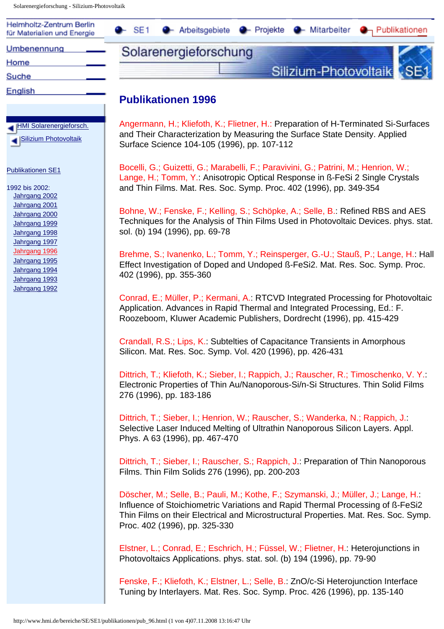<span id="page-0-0"></span>Solarenergieforschung - Silizium-Photovoltaik

HMI Solarenergieforsch. Silizium Photovoltaik

Publikationen SE1

1992 bis 2002: Jahrgang 2002 Jahrgang 2001 Jahrgang 2000 Jahrgang 1999 Jahrgang 1998 Jahrgang 1997 [Jahrgang 1996](#page-0-0) Jahrgang 1995 Jahrgang 1994 Jahrgang 1993 Jahrgang 1992

| Helmholtz-Zentrum Berlin<br>für Materialien und Energie | $\bullet$ SE1 | ← Arbeitsgebiete ← Projekte ← Mitarbeiter ← Publikationen |                           |  |
|---------------------------------------------------------|---------------|-----------------------------------------------------------|---------------------------|--|
| Umbenennung                                             |               | Solarenergieforschung                                     |                           |  |
| Home                                                    |               |                                                           |                           |  |
| Suche                                                   |               |                                                           | Silizium-Photovoltaik SE1 |  |
| English                                                 |               |                                                           |                           |  |

## **Publikationen 1996**

Angermann, H.; Kliefoth, K.; Flietner, H.: Preparation of H-Terminated Si-Surfaces and Their Characterization by Measuring the Surface State Density. Applied Surface Science 104-105 (1996), pp. 107-112

Bocelli, G.; Guizetti, G.; Marabelli, F.; Paravivini, G.; Patrini, M.; Henrion, W.; Lange, H.; Tomm, Y.: Anisotropic Optical Response in ß-FeSi 2 Single Crystals and Thin Films. Mat. Res. Soc. Symp. Proc. 402 (1996), pp. 349-354

Bohne, W.; Fenske, F.; Kelling, S.; Schöpke, A.; Selle, B.: Refined RBS and AES Techniques for the Analysis of Thin Films Used in Photovoltaic Devices. phys. stat. sol. (b) 194 (1996), pp. 69-78

Brehme, S.; Ivanenko, L.; Tomm, Y.; Reinsperger, G.-U.; Stauß, P.; Lange, H.: Hall Effect Investigation of Doped and Undoped ß-FeSi2. Mat. Res. Soc. Symp. Proc. 402 (1996), pp. 355-360

Conrad, E.; Müller, P.; Kermani, A.: RTCVD Integrated Processing for Photovoltaic Application. Advances in Rapid Thermal and Integrated Processing, Ed.: F. Roozeboom, Kluwer Academic Publishers, Dordrecht (1996), pp. 415-429

Crandall, R.S.; Lips, K.: Subtelties of Capacitance Transients in Amorphous Silicon. Mat. Res. Soc. Symp. Vol. 420 (1996), pp. 426-431

Dittrich, T.; Kliefoth, K.; Sieber, I.; Rappich, J.; Rauscher, R.; Timoschenko, V. Y.: Electronic Properties of Thin Au/Nanoporous-Si/n-Si Structures. Thin Solid Films 276 (1996), pp. 183-186

Dittrich, T.; Sieber, I.; Henrion, W.; Rauscher, S.; Wanderka, N.; Rappich, J.: Selective Laser Induced Melting of Ultrathin Nanoporous Silicon Layers. Appl. Phys. A 63 (1996), pp. 467-470

Dittrich, T.; Sieber, I.; Rauscher, S.; Rappich, J.: Preparation of Thin Nanoporous Films. Thin Film Solids 276 (1996), pp. 200-203

Döscher, M.; Selle, B.; Pauli, M.; Kothe, F.; Szymanski, J.; Müller, J.; Lange, H.: Influence of Stoichiometric Variations and Rapid Thermal Processing of ß-FeSi2 Thin Films on their Electrical and Microstructural Properties. Mat. Res. Soc. Symp. Proc. 402 (1996), pp. 325-330

Elstner, L.; Conrad, E.; Eschrich, H.; Füssel, W.; Flietner, H.: Heterojunctions in Photovoltaics Applications. phys. stat. sol. (b) 194 (1996), pp. 79-90

Fenske, F.; Kliefoth, K.; Elstner, L.; Selle, B.: ZnO/c-Si Heterojunction Interface Tuning by Interlayers. Mat. Res. Soc. Symp. Proc. 426 (1996), pp. 135-140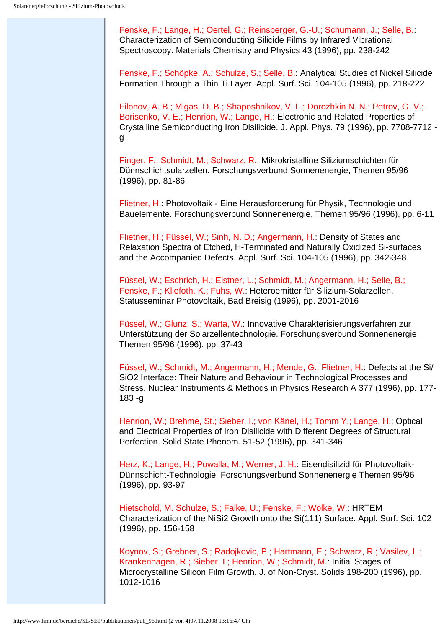Fenske, F.; Lange, H.; Oertel, G.; Reinsperger, G.-U.; Schumann, J.; Selle, B.: Characterization of Semiconducting Silicide Films by Infrared Vibrational Spectroscopy. Materials Chemistry and Physics 43 (1996), pp. 238-242

Fenske, F.; Schöpke, A.; Schulze, S.; Selle, B.: Analytical Studies of Nickel Silicide Formation Through a Thin Ti Layer. Appl. Surf. Sci. 104-105 (1996), pp. 218-222

Filonov, A. B.; Migas, D. B.; Shaposhnikov, V. L.; Dorozhkin N. N.; Petrov, G. V.; Borisenko, V. E.; Henrion, W.; Lange, H.: Electronic and Related Properties of Crystalline Semiconducting Iron Disilicide. J. Appl. Phys. 79 (1996), pp. 7708-7712 g

Finger, F.; Schmidt, M.; Schwarz, R.: Mikrokristalline Siliziumschichten für Dünnschichtsolarzellen. Forschungsverbund Sonnenenergie, Themen 95/96 (1996), pp. 81-86

Flietner, H.: Photovoltaik - Eine Herausforderung für Physik, Technologie und Bauelemente. Forschungsverbund Sonnenenergie, Themen 95/96 (1996), pp. 6-11

Flietner, H.; Füssel, W.; Sinh, N. D.; Angermann, H.: Density of States and Relaxation Spectra of Etched, H-Terminated and Naturally Oxidized Si-surfaces and the Accompanied Defects. Appl. Surf. Sci. 104-105 (1996), pp. 342-348

Füssel, W.; Eschrich, H.; Elstner, L.; Schmidt, M.; Angermann, H.; Selle, B.; Fenske, F.; Kliefoth, K.; Fuhs, W.: Heteroemitter für Silizium-Solarzellen. Statusseminar Photovoltaik, Bad Breisig (1996), pp. 2001-2016

Füssel, W.; Glunz, S.; Warta, W.: Innovative Charakterisierungsverfahren zur Unterstützung der Solarzellentechnologie. Forschungsverbund Sonnenenergie Themen 95/96 (1996), pp. 37-43

Füssel, W.; Schmidt, M.; Angermann, H.; Mende, G.; Flietner, H.: Defects at the Si/ SiO2 Interface: Their Nature and Behaviour in Technological Processes and Stress. Nuclear Instruments & Methods in Physics Research A 377 (1996), pp. 177- 183 -g

Henrion, W.; Brehme, St.; Sieber, I.; von Känel, H.; Tomm Y.; Lange, H.: Optical and Electrical Properties of Iron Disilicide with Different Degrees of Structural Perfection. Solid State Phenom. 51-52 (1996), pp. 341-346

Herz, K.; Lange, H.; Powalla, M.; Werner, J. H.: Eisendisilizid für Photovoltaik-Dünnschicht-Technologie. Forschungsverbund Sonnenenergie Themen 95/96 (1996), pp. 93-97

Hietschold, M. Schulze, S.; Falke, U.; Fenske, F.; Wolke, W.: HRTEM Characterization of the NiSi2 Growth onto the Si(111) Surface. Appl. Surf. Sci. 102 (1996), pp. 156-158

Koynov, S.; Grebner, S.; Radojkovic, P.; Hartmann, E.; Schwarz, R.; Vasilev, L.; Krankenhagen, R.; Sieber, I.; Henrion, W.; Schmidt, M.: Initial Stages of Microcrystalline Silicon Film Growth. J. of Non-Cryst. Solids 198-200 (1996), pp. 1012-1016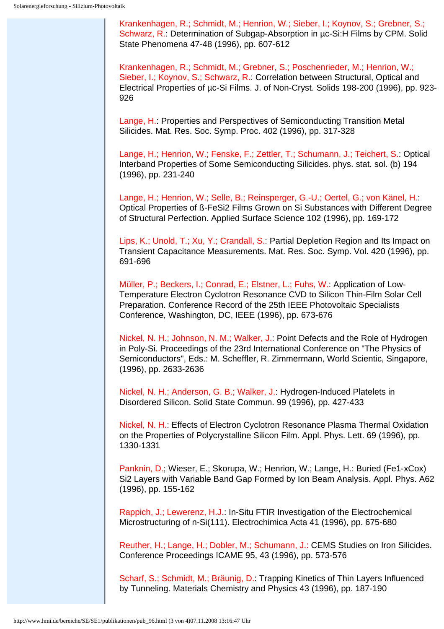Krankenhagen, R.; Schmidt, M.; Henrion, W.; Sieber, I.; Koynov, S.; Grebner, S.; Schwarz, R.: Determination of Subgap-Absorption in µc-Si:H Films by CPM. Solid State Phenomena 47-48 (1996), pp. 607-612

Krankenhagen, R.; Schmidt, M.; Grebner, S.; Poschenrieder, M.; Henrion, W.; Sieber, I.; Koynov, S.; Schwarz, R.: Correlation between Structural, Optical and Electrical Properties of µc-Si Films. J. of Non-Cryst. Solids 198-200 (1996), pp. 923- 926

Lange, H.: Properties and Perspectives of Semiconducting Transition Metal Silicides. Mat. Res. Soc. Symp. Proc. 402 (1996), pp. 317-328

Lange, H.; Henrion, W.; Fenske, F.; Zettler, T.; Schumann, J.; Teichert, S.: Optical Interband Properties of Some Semiconducting Silicides. phys. stat. sol. (b) 194 (1996), pp. 231-240

Lange, H.; Henrion, W.; Selle, B.; Reinsperger, G.-U.; Oertel, G.; von Känel, H.: Optical Properties of ß-FeSi2 Films Grown on Si Substances with Different Degree of Structural Perfection. Applied Surface Science 102 (1996), pp. 169-172

Lips, K.; Unold, T.; Xu, Y.; Crandall, S.: Partial Depletion Region and Its Impact on Transient Capacitance Measurements. Mat. Res. Soc. Symp. Vol. 420 (1996), pp. 691-696

Müller, P.; Beckers, I.; Conrad, E.; Elstner, L.; Fuhs, W.: Application of Low-Temperature Electron Cyclotron Resonance CVD to Silicon Thin-Film Solar Cell Preparation. Conference Record of the 25th IEEE Photovoltaic Specialists Conference, Washington, DC, IEEE (1996), pp. 673-676

Nickel, N. H.; Johnson, N. M.; Walker, J.: Point Defects and the Role of Hydrogen in Poly-Si. Proceedings of the 23rd International Conference on "The Physics of Semiconductors", Eds.: M. Scheffler, R. Zimmermann, World Scientic, Singapore, (1996), pp. 2633-2636

Nickel, N. H.; Anderson, G. B.; Walker, J.: Hydrogen-Induced Platelets in Disordered Silicon. Solid State Commun. 99 (1996), pp. 427-433

Nickel, N. H.: Effects of Electron Cyclotron Resonance Plasma Thermal Oxidation on the Properties of Polycrystalline Silicon Film. Appl. Phys. Lett. 69 (1996), pp. 1330-1331

Panknin, D.; Wieser, E.; Skorupa, W.; Henrion, W.; Lange, H.: Buried (Fe1-xCox) Si2 Layers with Variable Band Gap Formed by Ion Beam Analysis. Appl. Phys. A62 (1996), pp. 155-162

Rappich, J.; Lewerenz, H.J.: In-Situ FTIR Investigation of the Electrochemical Microstructuring of n-Si(111). Electrochimica Acta 41 (1996), pp. 675-680

Reuther, H.; Lange, H.; Dobler, M.; Schumann, J.: CEMS Studies on Iron Silicides. Conference Proceedings ICAME 95, 43 (1996), pp. 573-576

Scharf, S.; Schmidt, M.; Bräunig, D.: Trapping Kinetics of Thin Layers Influenced by Tunneling. Materials Chemistry and Physics 43 (1996), pp. 187-190